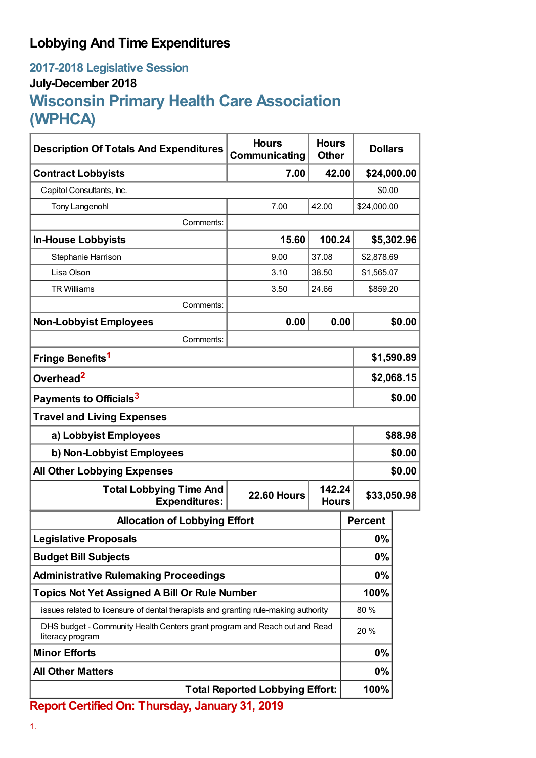## **Lobbying And Time Expenditures**

## **2017-2018 Legislative Session July-December 2018 Wisconsin Primary Health Care Association (WPHCA)**

| <b>Description Of Totals And Expenditures</b>                                                  | <b>Hours</b><br>Communicating | <b>Hours</b><br><b>Other</b> | <b>Dollars</b> |            |  |
|------------------------------------------------------------------------------------------------|-------------------------------|------------------------------|----------------|------------|--|
| <b>Contract Lobbyists</b>                                                                      | 7.00                          | 42.00                        | \$24,000.00    |            |  |
| Capitol Consultants, Inc.                                                                      |                               |                              | \$0.00         |            |  |
| <b>Tony Langenohl</b>                                                                          | 7.00                          | 42.00                        | \$24,000.00    |            |  |
| Comments:                                                                                      |                               |                              |                |            |  |
| <b>In-House Lobbyists</b>                                                                      | 15.60                         | 100.24                       |                | \$5,302.96 |  |
| Stephanie Harrison                                                                             | 9.00                          | 37.08                        | \$2,878.69     |            |  |
| Lisa Olson                                                                                     | 3.10                          | 38.50                        | \$1,565.07     |            |  |
| <b>TR Williams</b>                                                                             | 3.50                          | 24.66                        | \$859.20       |            |  |
| Comments:                                                                                      |                               |                              |                |            |  |
| <b>Non-Lobbyist Employees</b>                                                                  | 0.00                          | 0.00                         |                | \$0.00     |  |
| Comments:                                                                                      |                               |                              |                |            |  |
| Fringe Benefits <sup>1</sup>                                                                   |                               |                              |                | \$1,590.89 |  |
| Overhead <sup>2</sup>                                                                          |                               |                              |                | \$2,068.15 |  |
| Payments to Officials <sup>3</sup>                                                             |                               |                              |                | \$0.00     |  |
| <b>Travel and Living Expenses</b>                                                              |                               |                              |                |            |  |
| a) Lobbyist Employees                                                                          |                               |                              |                | \$88.98    |  |
| b) Non-Lobbyist Employees                                                                      |                               |                              |                | \$0.00     |  |
| <b>All Other Lobbying Expenses</b>                                                             |                               |                              |                | \$0.00     |  |
| <b>Total Lobbying Time And</b><br><b>Expenditures:</b>                                         | <b>22.60 Hours</b>            | 142.24<br><b>Hours</b>       | \$33,050.98    |            |  |
| <b>Allocation of Lobbying Effort</b>                                                           |                               |                              | <b>Percent</b> |            |  |
| <b>Legislative Proposals</b>                                                                   |                               | 0%                           |                |            |  |
| <b>Budget Bill Subjects</b>                                                                    |                               |                              | 0%             |            |  |
| <b>Administrative Rulemaking Proceedings</b>                                                   |                               |                              | 0%             |            |  |
| <b>Topics Not Yet Assigned A Bill Or Rule Number</b>                                           |                               |                              | 100%           |            |  |
| issues related to licensure of dental therapists and granting rule-making authority            |                               |                              | 80%            |            |  |
| DHS budget - Community Health Centers grant program and Reach out and Read<br>literacy program |                               |                              | 20 %           |            |  |
| <b>Minor Efforts</b>                                                                           |                               | 0%                           |                |            |  |
| <b>All Other Matters</b>                                                                       |                               | 0%                           |                |            |  |
| <b>Total Reported Lobbying Effort:</b>                                                         |                               |                              | 100%           |            |  |

**Report Certified On: Thursday, January 31, 2019**